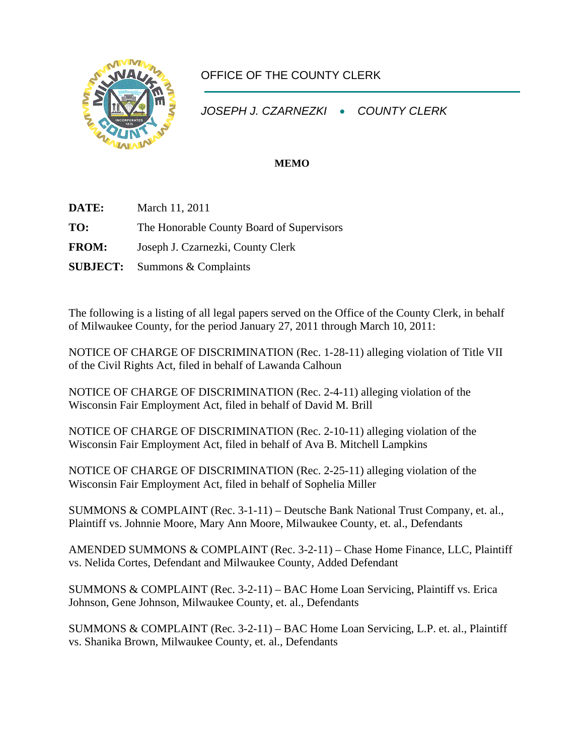

## OFFICE OF THE COUNTY CLERK

*JOSEPH J. CZARNEZKI* • *COUNTY CLERK* 

## **MEMO**

**DATE:** March 11, 2011

**TO:** The Honorable County Board of Supervisors

**FROM:** Joseph J. Czarnezki, County Clerk

**SUBJECT:** Summons & Complaints

The following is a listing of all legal papers served on the Office of the County Clerk, in behalf of Milwaukee County, for the period January 27, 2011 through March 10, 2011:

NOTICE OF CHARGE OF DISCRIMINATION (Rec. 1-28-11) alleging violation of Title VII of the Civil Rights Act, filed in behalf of Lawanda Calhoun

NOTICE OF CHARGE OF DISCRIMINATION (Rec. 2-4-11) alleging violation of the Wisconsin Fair Employment Act, filed in behalf of David M. Brill

NOTICE OF CHARGE OF DISCRIMINATION (Rec. 2-10-11) alleging violation of the Wisconsin Fair Employment Act, filed in behalf of Ava B. Mitchell Lampkins

NOTICE OF CHARGE OF DISCRIMINATION (Rec. 2-25-11) alleging violation of the Wisconsin Fair Employment Act, filed in behalf of Sophelia Miller

SUMMONS & COMPLAINT (Rec. 3-1-11) – Deutsche Bank National Trust Company, et. al., Plaintiff vs. Johnnie Moore, Mary Ann Moore, Milwaukee County, et. al., Defendants

AMENDED SUMMONS & COMPLAINT (Rec. 3-2-11) – Chase Home Finance, LLC, Plaintiff vs. Nelida Cortes, Defendant and Milwaukee County, Added Defendant

SUMMONS & COMPLAINT (Rec. 3-2-11) – BAC Home Loan Servicing, Plaintiff vs. Erica Johnson, Gene Johnson, Milwaukee County, et. al., Defendants

SUMMONS & COMPLAINT (Rec. 3-2-11) – BAC Home Loan Servicing, L.P. et. al., Plaintiff vs. Shanika Brown, Milwaukee County, et. al., Defendants